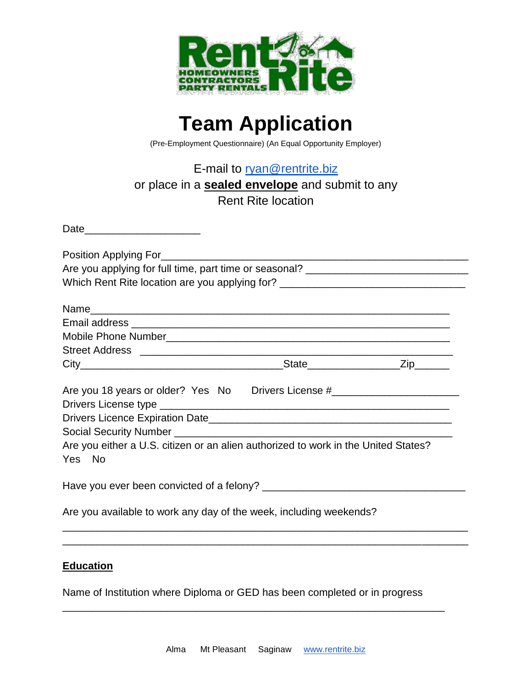

## **Team Application**

(Pre-Employment Questionnaire) (An Equal Opportunity Employer)

E-mail to [ryan@rentrite.biz](mailto:ryan@rentrite.biz)

## or place in a **sealed envelope** and submit to any

Rent Rite location

| Which Rent Rite location are you applying for? _________________________________             |  |
|----------------------------------------------------------------------------------------------|--|
|                                                                                              |  |
|                                                                                              |  |
|                                                                                              |  |
|                                                                                              |  |
|                                                                                              |  |
| Are you 18 years or older? Yes No Drivers License #_____________________________             |  |
|                                                                                              |  |
|                                                                                              |  |
| Are you either a U.S. citizen or an alien authorized to work in the United States?<br>Yes No |  |
|                                                                                              |  |
| Are you available to work any day of the week, including weekends?                           |  |
|                                                                                              |  |

## **Education**

Name of Institution where Diploma or GED has been completed or in progress

 $\overline{a}$  , and the contribution of the contribution of the contribution of the contribution of the contribution of  $\overline{a}$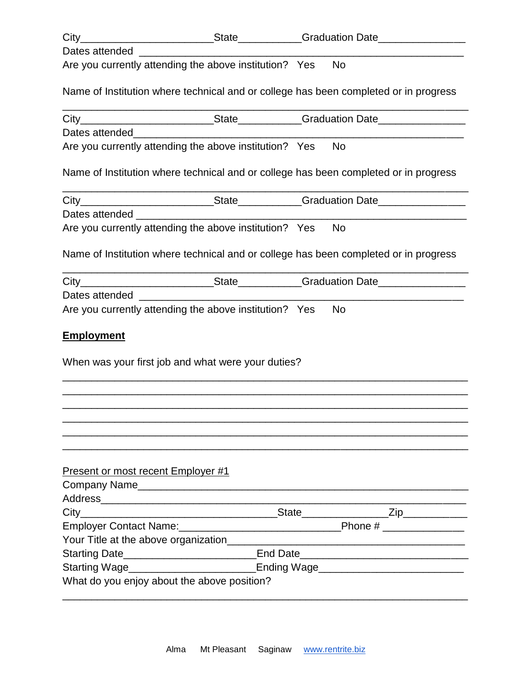| Dates attended                                                                                                                                                                                                                       |  |           |
|--------------------------------------------------------------------------------------------------------------------------------------------------------------------------------------------------------------------------------------|--|-----------|
| Are you currently attending the above institution? Yes                                                                                                                                                                               |  | <b>No</b> |
| Name of Institution where technical and or college has been completed or in progress                                                                                                                                                 |  |           |
|                                                                                                                                                                                                                                      |  |           |
| Dates attended <b>All According to the Contract of According to the Contract of According to the Contract of According to the Contract of According to the Contract of According to the Contract of According to the Contract of</b> |  |           |
| Are you currently attending the above institution? Yes                                                                                                                                                                               |  | <b>No</b> |
| Name of Institution where technical and or college has been completed or in progress                                                                                                                                                 |  |           |
|                                                                                                                                                                                                                                      |  |           |
|                                                                                                                                                                                                                                      |  |           |
| Are you currently attending the above institution? Yes                                                                                                                                                                               |  | <b>No</b> |
| Name of Institution where technical and or college has been completed or in progress                                                                                                                                                 |  |           |
|                                                                                                                                                                                                                                      |  |           |
|                                                                                                                                                                                                                                      |  |           |
| Are you currently attending the above institution? Yes                                                                                                                                                                               |  | <b>No</b> |
| <b>Employment</b>                                                                                                                                                                                                                    |  |           |
| When was your first job and what were your duties?                                                                                                                                                                                   |  |           |
|                                                                                                                                                                                                                                      |  |           |
|                                                                                                                                                                                                                                      |  |           |
|                                                                                                                                                                                                                                      |  |           |
| Present or most recent Employer #1                                                                                                                                                                                                   |  |           |
|                                                                                                                                                                                                                                      |  |           |
|                                                                                                                                                                                                                                      |  |           |
|                                                                                                                                                                                                                                      |  |           |
|                                                                                                                                                                                                                                      |  |           |
| Starting Date________________________________End Date___________________________                                                                                                                                                     |  |           |
| Starting Wage___________________________Ending Wage_____________________________                                                                                                                                                     |  |           |
| What do you enjoy about the above position?                                                                                                                                                                                          |  |           |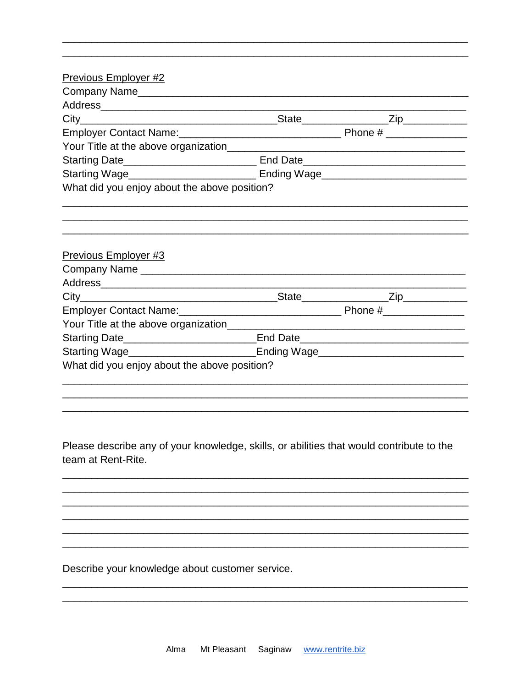| Previous Employer #2                                                             |  |  |  |  |  |  |
|----------------------------------------------------------------------------------|--|--|--|--|--|--|
|                                                                                  |  |  |  |  |  |  |
|                                                                                  |  |  |  |  |  |  |
|                                                                                  |  |  |  |  |  |  |
|                                                                                  |  |  |  |  |  |  |
|                                                                                  |  |  |  |  |  |  |
|                                                                                  |  |  |  |  |  |  |
|                                                                                  |  |  |  |  |  |  |
| What did you enjoy about the above position?                                     |  |  |  |  |  |  |
|                                                                                  |  |  |  |  |  |  |
| Previous Employer #3                                                             |  |  |  |  |  |  |
|                                                                                  |  |  |  |  |  |  |
|                                                                                  |  |  |  |  |  |  |
|                                                                                  |  |  |  |  |  |  |
|                                                                                  |  |  |  |  |  |  |
|                                                                                  |  |  |  |  |  |  |
| Starting Date_______________________________End Date____________________________ |  |  |  |  |  |  |
|                                                                                  |  |  |  |  |  |  |
| Starting Wage___________________________Ending Wage_____________________________ |  |  |  |  |  |  |
| What did you enjoy about the above position?                                     |  |  |  |  |  |  |

Please describe any of your knowledge, skills, or abilities that would contribute to the team at Rent-Rite.

Describe your knowledge about customer service.